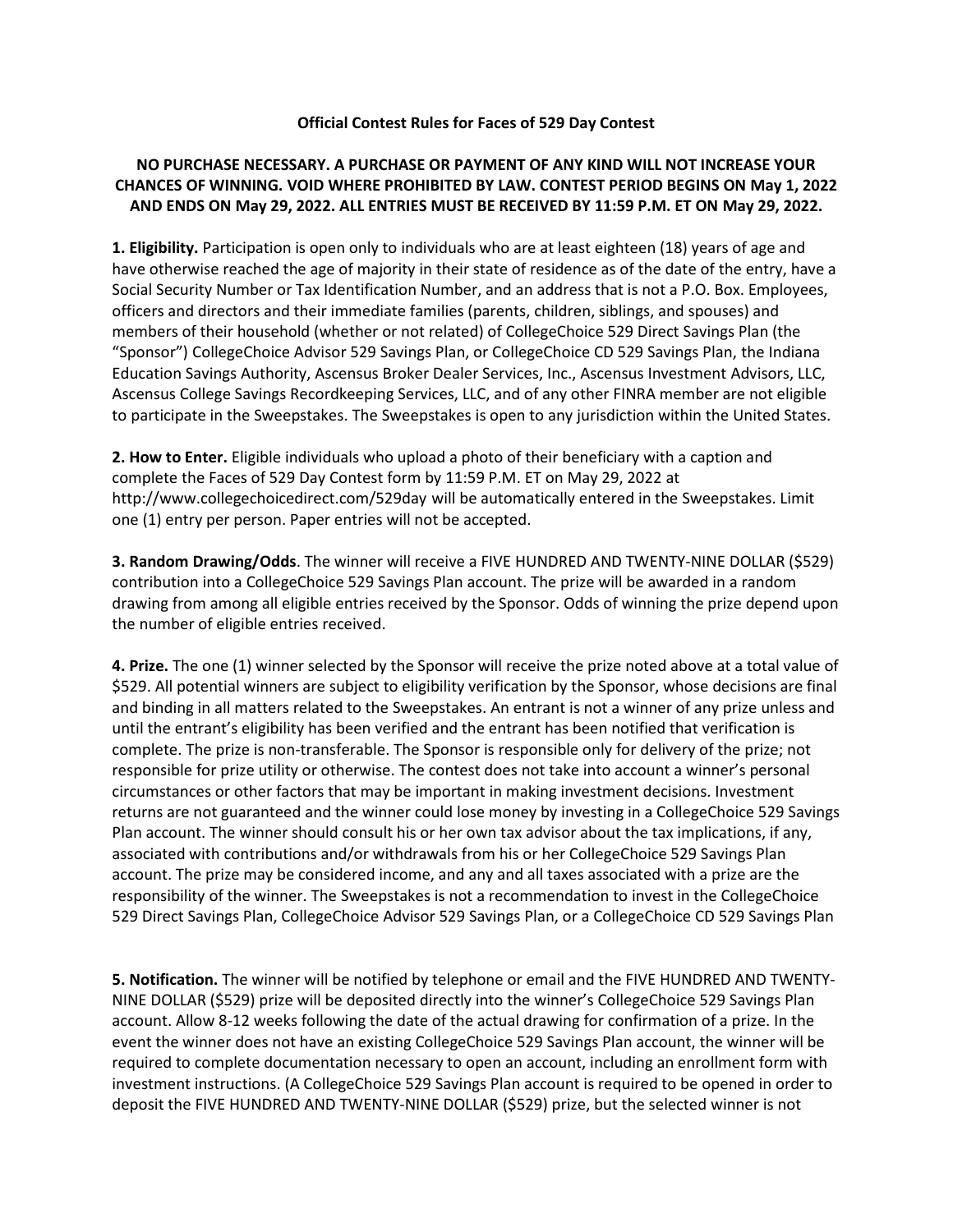## **Official Contest Rules for Faces of 529 Day Contest**

## **NO PURCHASE NECESSARY. A PURCHASE OR PAYMENT OF ANY KIND WILL NOT INCREASE YOUR CHANCES OF WINNING. VOID WHERE PROHIBITED BY LAW. CONTEST PERIOD BEGINS ON May 1, 2022 AND ENDS ON May 29, 2022. ALL ENTRIES MUST BE RECEIVED BY 11:59 P.M. ET ON May 29, 2022.**

**1. Eligibility.** Participation is open only to individuals who are at least eighteen (18) years of age and have otherwise reached the age of majority in their state of residence as of the date of the entry, have a Social Security Number or Tax Identification Number, and an address that is not a P.O. Box. Employees, officers and directors and their immediate families (parents, children, siblings, and spouses) and members of their household (whether or not related) of CollegeChoice 529 Direct Savings Plan (the "Sponsor") CollegeChoice Advisor 529 Savings Plan, or CollegeChoice CD 529 Savings Plan, the Indiana Education Savings Authority, Ascensus Broker Dealer Services, Inc., Ascensus Investment Advisors, LLC, Ascensus College Savings Recordkeeping Services, LLC, and of any other FINRA member are not eligible to participate in the Sweepstakes. The Sweepstakes is open to any jurisdiction within the United States.

**2. How to Enter.** Eligible individuals who upload a photo of their beneficiary with a caption and complete the Faces of 529 Day Contest form by 11:59 P.M. ET on May 29, 2022 at http:/[/www.collegechoicedirect.com/529day](http://www.collegechoicedirect.com/529day) will be automatically entered in the Sweepstakes. Limit one (1) entry per person. Paper entries will not be accepted.

**3. Random Drawing/Odds**. The winner will receive a FIVE HUNDRED AND TWENTY-NINE DOLLAR (\$529) contribution into a CollegeChoice 529 Savings Plan account. The prize will be awarded in a random drawing from among all eligible entries received by the Sponsor. Odds of winning the prize depend upon the number of eligible entries received.

**4. Prize.** The one (1) winner selected by the Sponsor will receive the prize noted above at a total value of \$529. All potential winners are subject to eligibility verification by the Sponsor, whose decisions are final and binding in all matters related to the Sweepstakes. An entrant is not a winner of any prize unless and until the entrant's eligibility has been verified and the entrant has been notified that verification is complete. The prize is non-transferable. The Sponsor is responsible only for delivery of the prize; not responsible for prize utility or otherwise. The contest does not take into account a winner's personal circumstances or other factors that may be important in making investment decisions. Investment returns are not guaranteed and the winner could lose money by investing in a CollegeChoice 529 Savings Plan account. The winner should consult his or her own tax advisor about the tax implications, if any, associated with contributions and/or withdrawals from his or her CollegeChoice 529 Savings Plan account. The prize may be considered income, and any and all taxes associated with a prize are the responsibility of the winner. The Sweepstakes is not a recommendation to invest in the CollegeChoice 529 Direct Savings Plan, CollegeChoice Advisor 529 Savings Plan, or a CollegeChoice CD 529 Savings Plan

**5. Notification.** The winner will be notified by telephone or email and the FIVE HUNDRED AND TWENTY-NINE DOLLAR (\$529) prize will be deposited directly into the winner's CollegeChoice 529 Savings Plan account. Allow 8-12 weeks following the date of the actual drawing for confirmation of a prize. In the event the winner does not have an existing CollegeChoice 529 Savings Plan account, the winner will be required to complete documentation necessary to open an account, including an enrollment form with investment instructions. (A CollegeChoice 529 Savings Plan account is required to be opened in order to deposit the FIVE HUNDRED AND TWENTY-NINE DOLLAR (\$529) prize, but the selected winner is not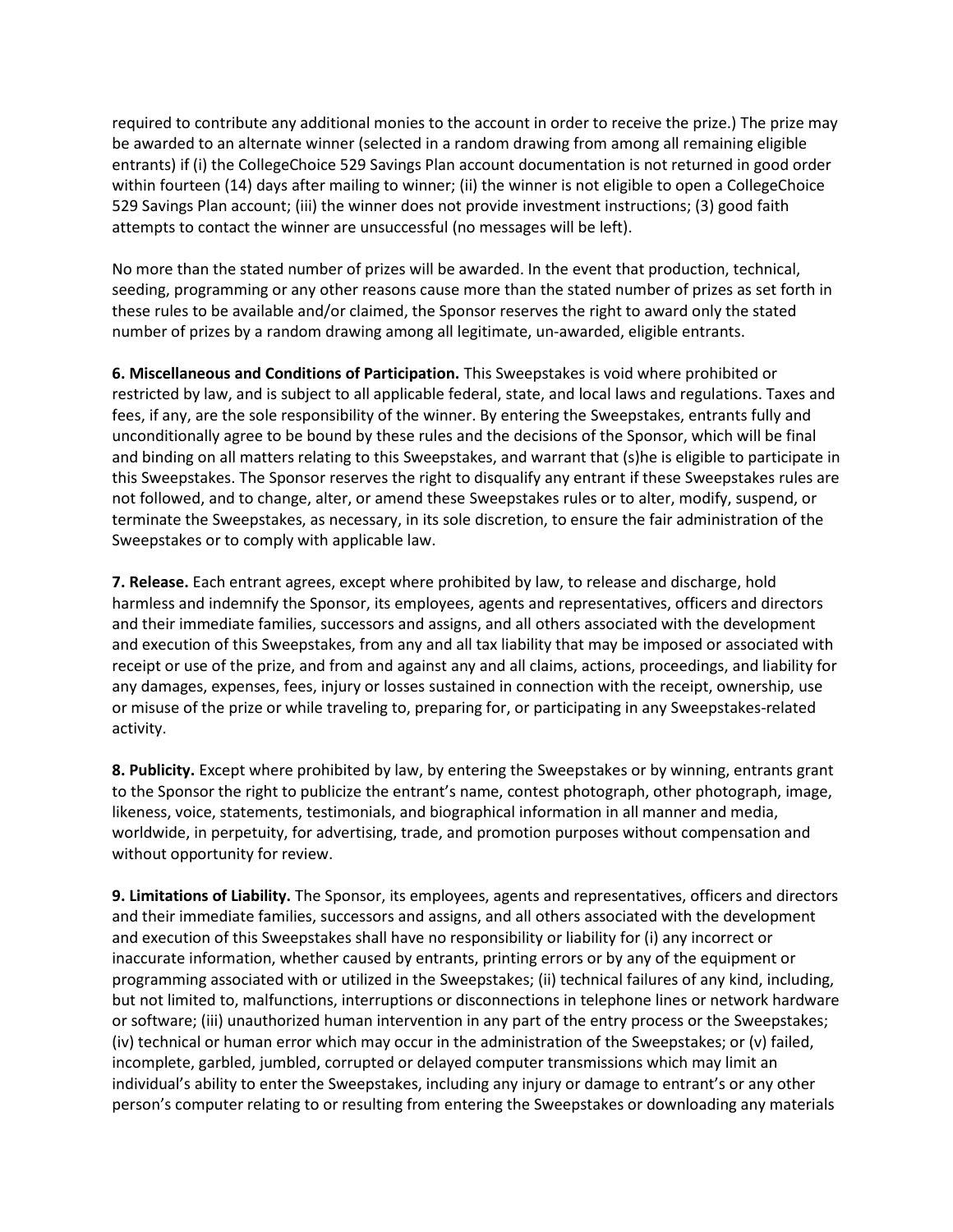required to contribute any additional monies to the account in order to receive the prize.) The prize may be awarded to an alternate winner (selected in a random drawing from among all remaining eligible entrants) if (i) the CollegeChoice 529 Savings Plan account documentation is not returned in good order within fourteen (14) days after mailing to winner; (ii) the winner is not eligible to open a CollegeChoice 529 Savings Plan account; (iii) the winner does not provide investment instructions; (3) good faith attempts to contact the winner are unsuccessful (no messages will be left).

No more than the stated number of prizes will be awarded. In the event that production, technical, seeding, programming or any other reasons cause more than the stated number of prizes as set forth in these rules to be available and/or claimed, the Sponsor reserves the right to award only the stated number of prizes by a random drawing among all legitimate, un-awarded, eligible entrants.

**6. Miscellaneous and Conditions of Participation.** This Sweepstakes is void where prohibited or restricted by law, and is subject to all applicable federal, state, and local laws and regulations. Taxes and fees, if any, are the sole responsibility of the winner. By entering the Sweepstakes, entrants fully and unconditionally agree to be bound by these rules and the decisions of the Sponsor, which will be final and binding on all matters relating to this Sweepstakes, and warrant that (s)he is eligible to participate in this Sweepstakes. The Sponsor reserves the right to disqualify any entrant if these Sweepstakes rules are not followed, and to change, alter, or amend these Sweepstakes rules or to alter, modify, suspend, or terminate the Sweepstakes, as necessary, in its sole discretion, to ensure the fair administration of the Sweepstakes or to comply with applicable law.

**7. Release.** Each entrant agrees, except where prohibited by law, to release and discharge, hold harmless and indemnify the Sponsor, its employees, agents and representatives, officers and directors and their immediate families, successors and assigns, and all others associated with the development and execution of this Sweepstakes, from any and all tax liability that may be imposed or associated with receipt or use of the prize, and from and against any and all claims, actions, proceedings, and liability for any damages, expenses, fees, injury or losses sustained in connection with the receipt, ownership, use or misuse of the prize or while traveling to, preparing for, or participating in any Sweepstakes-related activity.

**8. Publicity.** Except where prohibited by law, by entering the Sweepstakes or by winning, entrants grant to the Sponsor the right to publicize the entrant's name, contest photograph, other photograph, image, likeness, voice, statements, testimonials, and biographical information in all manner and media, worldwide, in perpetuity, for advertising, trade, and promotion purposes without compensation and without opportunity for review.

**9. Limitations of Liability.** The Sponsor, its employees, agents and representatives, officers and directors and their immediate families, successors and assigns, and all others associated with the development and execution of this Sweepstakes shall have no responsibility or liability for (i) any incorrect or inaccurate information, whether caused by entrants, printing errors or by any of the equipment or programming associated with or utilized in the Sweepstakes; (ii) technical failures of any kind, including, but not limited to, malfunctions, interruptions or disconnections in telephone lines or network hardware or software; (iii) unauthorized human intervention in any part of the entry process or the Sweepstakes; (iv) technical or human error which may occur in the administration of the Sweepstakes; or (v) failed, incomplete, garbled, jumbled, corrupted or delayed computer transmissions which may limit an individual's ability to enter the Sweepstakes, including any injury or damage to entrant's or any other person's computer relating to or resulting from entering the Sweepstakes or downloading any materials